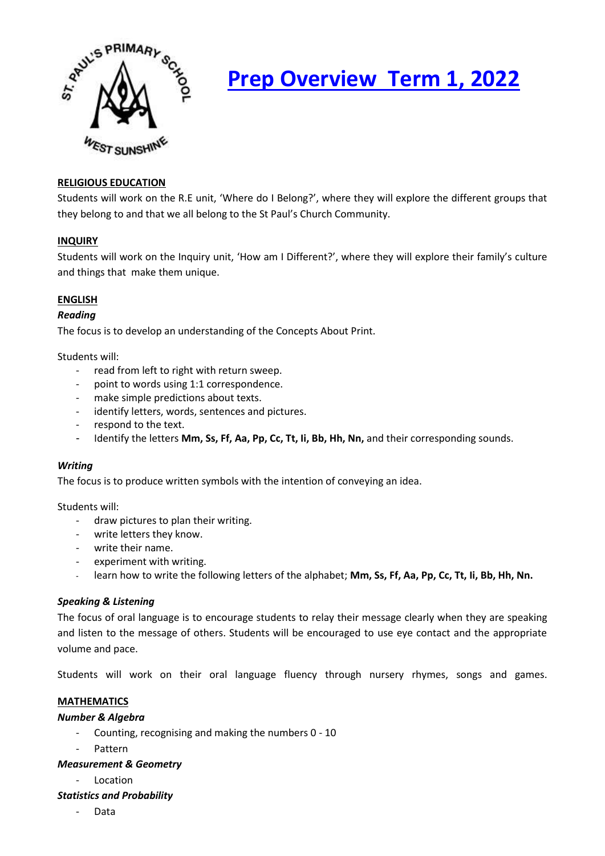

# **Prep Overview Term 1, 2022**

# **RELIGIOUS EDUCATION**

Students will work on the R.E unit, 'Where do I Belong?', where they will explore the different groups that they belong to and that we all belong to the St Paul's Church Community.

## **INQUIRY**

Students will work on the Inquiry unit, 'How am I Different?', where they will explore their family's culture and things that make them unique.

# **ENGLISH**

## *Reading*

The focus is to develop an understanding of the Concepts About Print.

Students will:

- read from left to right with return sweep.
- point to words using 1:1 correspondence.
- make simple predictions about texts.
- identify letters, words, sentences and pictures.
- respond to the text.
- Identify the letters **Mm, Ss, Ff, Aa, Pp, Cc, Tt, Ii, Bb, Hh, Nn,** and their corresponding sounds.

#### *Writing*

The focus is to produce written symbols with the intention of conveying an idea.

Students will:

- draw pictures to plan their writing.
- write letters they know.
- write their name.
- experiment with writing.
- learn how to write the following letters of the alphabet; **Mm, Ss, Ff, Aa, Pp, Cc, Tt, Ii, Bb, Hh, Nn.**

# *Speaking & Listening*

The focus of oral language is to encourage students to relay their message clearly when they are speaking and listen to the message of others. Students will be encouraged to use eye contact and the appropriate volume and pace.

Students will work on their oral language fluency through nursery rhymes, songs and games.

# **MATHEMATICS**

#### *Number & Algebra*

- Counting, recognising and making the numbers 0 10
- Pattern

#### *Measurement & Geometry*

- Location

#### *Statistics and Probability*

Data